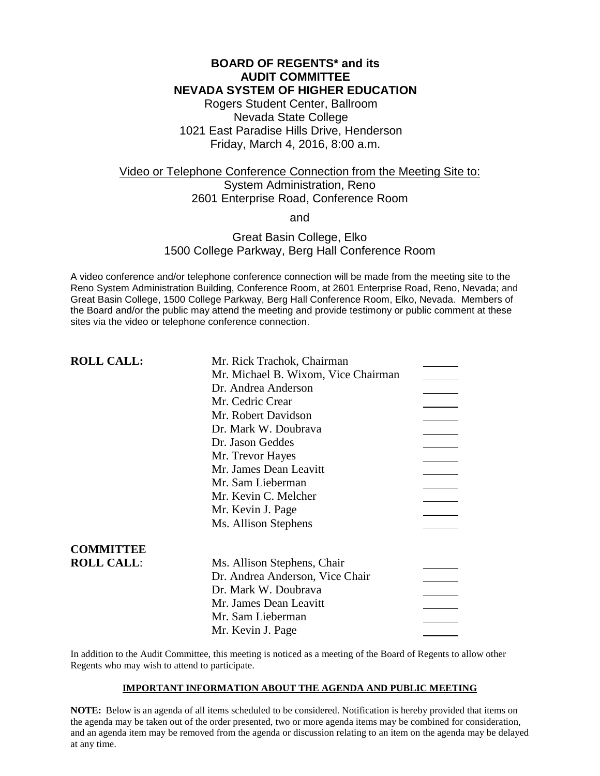### **BOARD OF REGENTS\* and its AUDIT COMMITTEE NEVADA SYSTEM OF HIGHER EDUCATION**

Rogers Student Center, Ballroom Nevada State College 1021 East Paradise Hills Drive, Henderson Friday, March 4, 2016, 8:00 a.m.

# Video or Telephone Conference Connection from the Meeting Site to: System Administration, Reno 2601 Enterprise Road, Conference Room

and

### Great Basin College, Elko 1500 College Parkway, Berg Hall Conference Room

A video conference and/or telephone conference connection will be made from the meeting site to the Reno System Administration Building, Conference Room, at 2601 Enterprise Road, Reno, Nevada; and Great Basin College, 1500 College Parkway, Berg Hall Conference Room, Elko, Nevada. Members of the Board and/or the public may attend the meeting and provide testimony or public comment at these sites via the video or telephone conference connection.

| <b>ROLL CALL:</b> | Mr. Rick Trachok, Chairman          |  |
|-------------------|-------------------------------------|--|
|                   | Mr. Michael B. Wixom, Vice Chairman |  |
|                   | Dr. Andrea Anderson                 |  |
|                   | Mr. Cedric Crear                    |  |
|                   | Mr. Robert Davidson                 |  |
|                   | Dr. Mark W. Doubrava                |  |
|                   | Dr. Jason Geddes                    |  |
|                   | Mr. Trevor Hayes                    |  |
|                   | Mr. James Dean Leavitt              |  |
|                   | Mr. Sam Lieberman                   |  |
|                   | Mr. Kevin C. Melcher                |  |
|                   | Mr. Kevin J. Page                   |  |
|                   | Ms. Allison Stephens                |  |
| <b>COMMITTEE</b>  |                                     |  |
| <b>ROLL CALL:</b> | Ms. Allison Stephens, Chair         |  |
|                   | Dr. Andrea Anderson, Vice Chair     |  |
|                   | Dr. Mark W. Doubrava                |  |
|                   | Mr. James Dean Leavitt              |  |
|                   | Mr. Sam Lieberman                   |  |
|                   | Mr. Kevin J. Page                   |  |

In addition to the Audit Committee, this meeting is noticed as a meeting of the Board of Regents to allow other Regents who may wish to attend to participate.

### **IMPORTANT INFORMATION ABOUT THE AGENDA AND PUBLIC MEETING**

**NOTE:** Below is an agenda of all items scheduled to be considered. Notification is hereby provided that items on the agenda may be taken out of the order presented, two or more agenda items may be combined for consideration, and an agenda item may be removed from the agenda or discussion relating to an item on the agenda may be delayed at any time.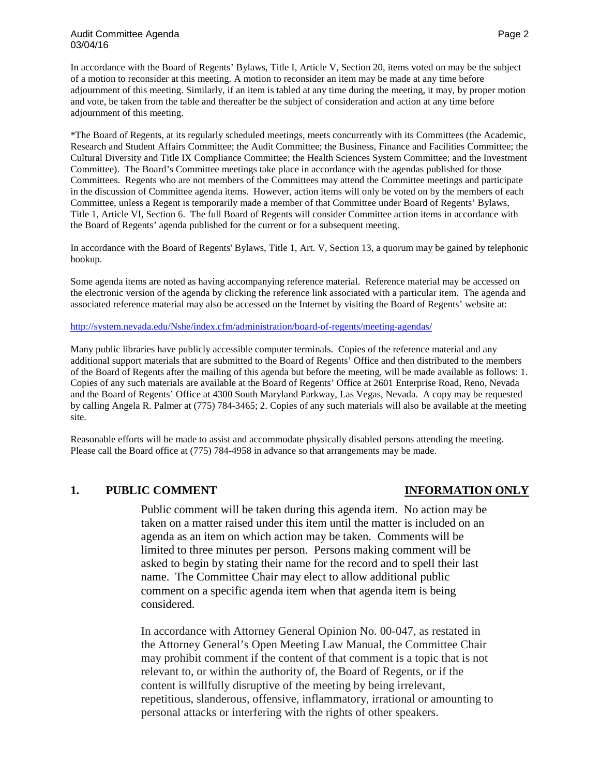### Audit Committee Agenda Page 2 and 2012 12:00 Audit Committee Agenda Page 2 03/04/16

In accordance with the Board of Regents' Bylaws, Title I, Article V, Section 20, items voted on may be the subject of a motion to reconsider at this meeting. A motion to reconsider an item may be made at any time before adjournment of this meeting. Similarly, if an item is tabled at any time during the meeting, it may, by proper motion and vote, be taken from the table and thereafter be the subject of consideration and action at any time before adjournment of this meeting.

\*The Board of Regents, at its regularly scheduled meetings, meets concurrently with its Committees (the Academic, Research and Student Affairs Committee; the Audit Committee; the Business, Finance and Facilities Committee; the Cultural Diversity and Title IX Compliance Committee; the Health Sciences System Committee; and the Investment Committee). The Board's Committee meetings take place in accordance with the agendas published for those Committees. Regents who are not members of the Committees may attend the Committee meetings and participate in the discussion of Committee agenda items. However, action items will only be voted on by the members of each Committee, unless a Regent is temporarily made a member of that Committee under Board of Regents' Bylaws, Title 1, Article VI, Section 6. The full Board of Regents will consider Committee action items in accordance with the Board of Regents' agenda published for the current or for a subsequent meeting.

In accordance with the Board of Regents' Bylaws, Title 1, Art. V, Section 13, a quorum may be gained by telephonic hookup.

Some agenda items are noted as having accompanying reference material. Reference material may be accessed on the electronic version of the agenda by clicking the reference link associated with a particular item. The agenda and associated reference material may also be accessed on the Internet by visiting the Board of Regents' website at:

<http://system.nevada.edu/Nshe/index.cfm/administration/board-of-regents/meeting-agendas/>

Many public libraries have publicly accessible computer terminals. Copies of the reference material and any additional support materials that are submitted to the Board of Regents' Office and then distributed to the members of the Board of Regents after the mailing of this agenda but before the meeting, will be made available as follows: 1. Copies of any such materials are available at the Board of Regents' Office at 2601 Enterprise Road, Reno, Nevada and the Board of Regents' Office at 4300 South Maryland Parkway, Las Vegas, Nevada. A copy may be requested by calling Angela R. Palmer at (775) 784-3465; 2. Copies of any such materials will also be available at the meeting site.

Reasonable efforts will be made to assist and accommodate physically disabled persons attending the meeting. Please call the Board office at (775) 784-4958 in advance so that arrangements may be made.

### **1. PUBLIC COMMENT INFORMATION ONLY**

Public comment will be taken during this agenda item. No action may be taken on a matter raised under this item until the matter is included on an agenda as an item on which action may be taken. Comments will be limited to three minutes per person. Persons making comment will be asked to begin by stating their name for the record and to spell their last name. The Committee Chair may elect to allow additional public comment on a specific agenda item when that agenda item is being considered.

In accordance with Attorney General Opinion No. 00-047, as restated in the Attorney General's Open Meeting Law Manual, the Committee Chair may prohibit comment if the content of that comment is a topic that is not relevant to, or within the authority of, the Board of Regents, or if the content is willfully disruptive of the meeting by being irrelevant, repetitious, slanderous, offensive, inflammatory, irrational or amounting to personal attacks or interfering with the rights of other speakers.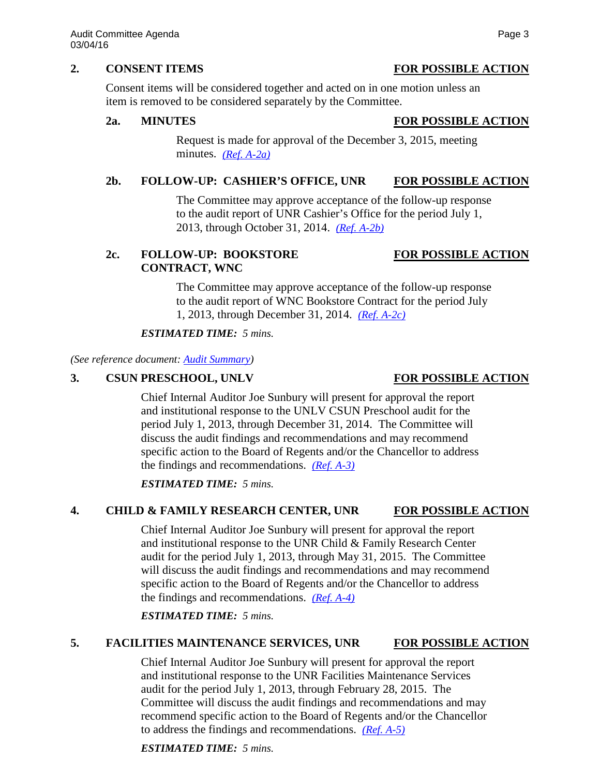### **2. CONSENT ITEMS FOR POSSIBLE ACTION**

Consent items will be considered together and acted on in one motion unless an item is removed to be considered separately by the Committee.

### **2a. MINUTES FOR POSSIBLE ACTION**

Request is made for approval of the December 3, 2015, meeting minutes. *[\(Ref. A-2a\)](http://system.nevada.edu/tasks/sites/Nshe/assets/File/BoardOfRegents/Agendas/2016/mar-mtgs/audit-refs/A-2a.pdf)*

### **2b. FOLLOW-UP: CASHIER'S OFFICE, UNR FOR POSSIBLE ACTION**

The Committee may approve acceptance of the follow-up response to the audit report of UNR Cashier's Office for the period July 1, 2013, through October 31, 2014. *[\(Ref. A-2b\)](http://system.nevada.edu/tasks/sites/Nshe/assets/File/BoardOfRegents/Agendas/2016/mar-mtgs/audit-refs/A-2b.pdf)*

# **2c. FOLLOW-UP: BOOKSTORE FOR POSSIBLE ACTION CONTRACT, WNC**

# The Committee may approve acceptance of the follow-up response to the audit report of WNC Bookstore Contract for the period July 1, 2013, through December 31, 2014. *[\(Ref. A-2c\)](http://system.nevada.edu/tasks/sites/Nshe/assets/File/BoardOfRegents/Agendas/2016/mar-mtgs/audit-refs/A-2c.pdf)*

### *ESTIMATED TIME: 5 mins.*

*(See reference document: [Audit Summary\)](http://system.nevada.edu/tasks/sites/Nshe/assets/File/BoardOfRegents/Agendas/2016/mar-mtgs/audit-refs/Audit%20Summary.pdf)*

### **3. CSUN PRESCHOOL, UNLV FOR POSSIBLE ACTION**

Chief Internal Auditor Joe Sunbury will present for approval the report and institutional response to the UNLV CSUN Preschool audit for the period July 1, 2013, through December 31, 2014. The Committee will discuss the audit findings and recommendations and may recommend specific action to the Board of Regents and/or the Chancellor to address the findings and recommendations. *[\(Ref. A-3\)](http://system.nevada.edu/tasks/sites/Nshe/assets/File/BoardOfRegents/Agendas/2016/mar-mtgs/audit-refs/A-3.pdf)*

*ESTIMATED TIME: 5 mins.*

### **4. CHILD & FAMILY RESEARCH CENTER, UNR FOR POSSIBLE ACTION**

Chief Internal Auditor Joe Sunbury will present for approval the report and institutional response to the UNR Child & Family Research Center audit for the period July 1, 2013, through May 31, 2015. The Committee will discuss the audit findings and recommendations and may recommend specific action to the Board of Regents and/or the Chancellor to address the findings and recommendations. *[\(Ref. A-4\)](http://system.nevada.edu/tasks/sites/Nshe/assets/File/BoardOfRegents/Agendas/2016/mar-mtgs/audit-refs/A-4.pdf)*

*ESTIMATED TIME: 5 mins.*

### **5. FACILITIES MAINTENANCE SERVICES, UNR FOR POSSIBLE ACTION**

Chief Internal Auditor Joe Sunbury will present for approval the report and institutional response to the UNR Facilities Maintenance Services audit for the period July 1, 2013, through February 28, 2015. The Committee will discuss the audit findings and recommendations and may recommend specific action to the Board of Regents and/or the Chancellor to address the findings and recommendations. *[\(Ref. A-5\)](http://system.nevada.edu/tasks/sites/Nshe/assets/File/BoardOfRegents/Agendas/2016/mar-mtgs/audit-refs/A-5.pdf)*

*ESTIMATED TIME: 5 mins.*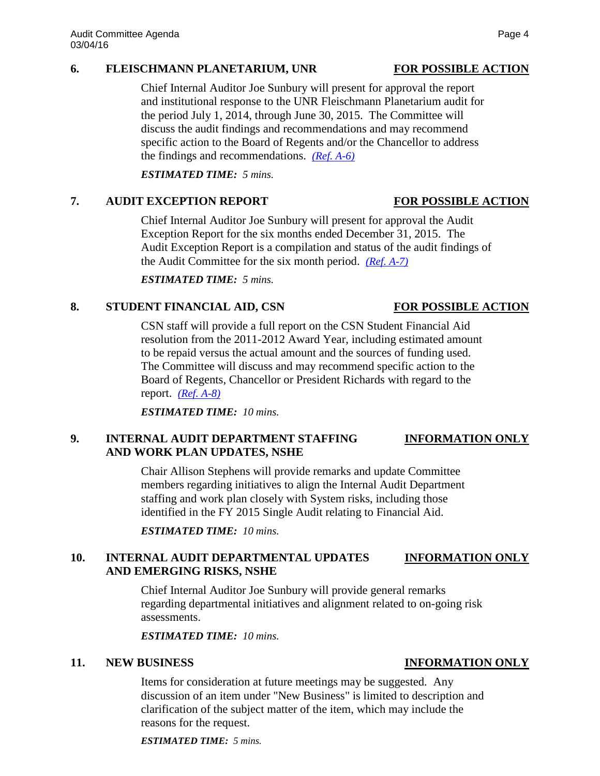### **6. FLEISCHMANN PLANETARIUM, UNR FOR POSSIBLE ACTION**

Chief Internal Auditor Joe Sunbury will present for approval the report and institutional response to the UNR Fleischmann Planetarium audit for the period July 1, 2014, through June 30, 2015. The Committee will discuss the audit findings and recommendations and may recommend specific action to the Board of Regents and/or the Chancellor to address the findings and recommendations. *[\(Ref. A-6\)](http://system.nevada.edu/tasks/sites/Nshe/assets/File/BoardOfRegents/Agendas/2016/mar-mtgs/audit-refs/A-6.pdf)*

*ESTIMATED TIME: 5 mins.*

## **7. AUDIT EXCEPTION REPORT FOR POSSIBLE ACTION**

Chief Internal Auditor Joe Sunbury will present for approval the Audit Exception Report for the six months ended December 31, 2015. The Audit Exception Report is a compilation and status of the audit findings of the Audit Committee for the six month period. *[\(Ref. A-7\)](http://system.nevada.edu/tasks/sites/Nshe/assets/File/BoardOfRegents/Agendas/2016/mar-mtgs/audit-refs/A-7.pdf)*

*ESTIMATED TIME: 5 mins.*

# **8. STUDENT FINANCIAL AID, CSN FOR POSSIBLE ACTION**

CSN staff will provide a full report on the CSN Student Financial Aid resolution from the 2011-2012 Award Year, including estimated amount to be repaid versus the actual amount and the sources of funding used. The Committee will discuss and may recommend specific action to the Board of Regents, Chancellor or President Richards with regard to the report. *[\(Ref. A-8\)](http://system.nevada.edu/tasks/sites/Nshe/assets/File/BoardOfRegents/Agendas/2016/mar-mtgs/audit-refs/A-8.pdf)*

*ESTIMATED TIME: 10 mins.*

# **9. INTERNAL AUDIT DEPARTMENT STAFFING INFORMATION ONLY AND WORK PLAN UPDATES, NSHE**

Chair Allison Stephens will provide remarks and update Committee members regarding initiatives to align the Internal Audit Department staffing and work plan closely with System risks, including those identified in the FY 2015 Single Audit relating to Financial Aid.

*ESTIMATED TIME: 10 mins.*

# **10. INTERNAL AUDIT DEPARTMENTAL UPDATES INFORMATION ONLY AND EMERGING RISKS, NSHE**

Chief Internal Auditor Joe Sunbury will provide general remarks regarding departmental initiatives and alignment related to on-going risk assessments.

*ESTIMATED TIME: 10 mins.*

Items for consideration at future meetings may be suggested. Any discussion of an item under "New Business" is limited to description and clarification of the subject matter of the item, which may include the reasons for the request.

*ESTIMATED TIME: 5 mins.*

### **11. NEW BUSINESS INFORMATION ONLY**